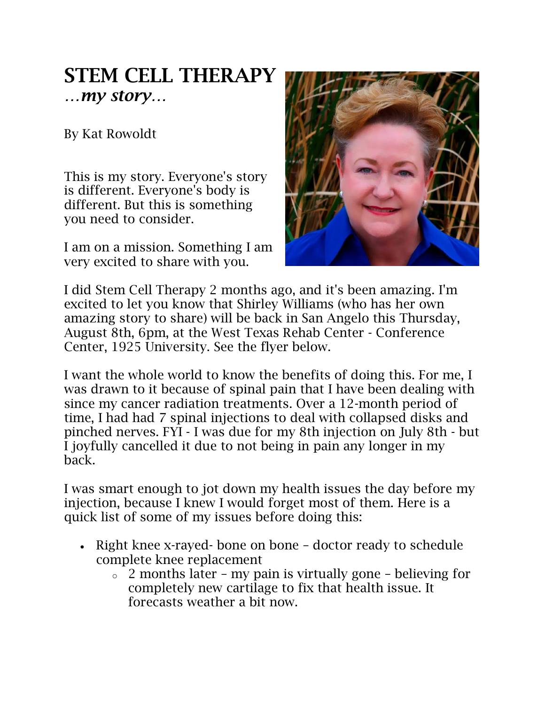## STEM CELL THERAPY *…my story…*

By Kat Rowoldt

This is my story. Everyone's story is different. Everyone's body is different. But this is something you need to consider.

I am on a mission. Something I am very excited to share with you.



I did Stem Cell Therapy 2 months ago, and it's been amazing. I'm excited to let you know that Shirley Williams (who has her own amazing story to share) will be back in San Angelo this Thursday, August 8th, 6pm, at the West Texas Rehab Center - Conference Center, 1925 University. See the flyer below.

I want the whole world to know the benefits of doing this. For me, I was drawn to it because of spinal pain that I have been dealing with since my cancer radiation treatments. Over a 12-month period of time, I had had 7 spinal injections to deal with collapsed disks and pinched nerves. FYI - I was due for my 8th injection on July 8th - but I joyfully cancelled it due to not being in pain any longer in my back.

I was smart enough to jot down my health issues the day before my injection, because I knew I would forget most of them. Here is a quick list of some of my issues before doing this:

- Right knee x-rayed- bone on bone doctor ready to schedule complete knee replacement
	- $\circ$  2 months later my pain is virtually gone believing for completely new cartilage to fix that health issue. It forecasts weather a bit now.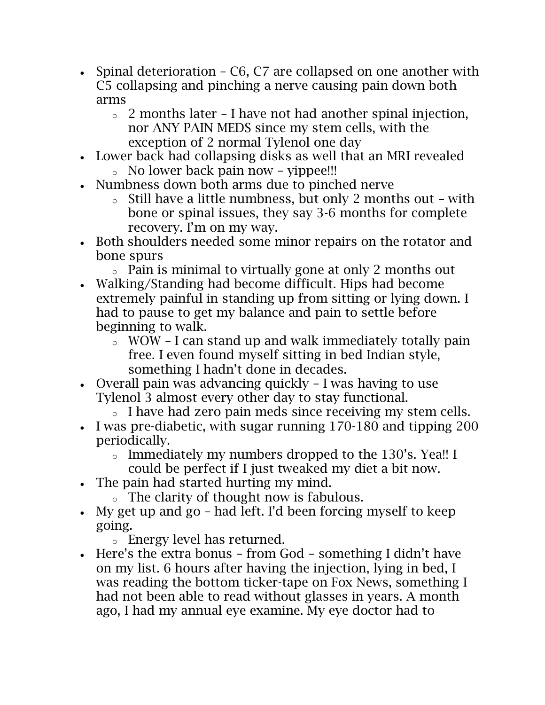- Spinal deterioration C6, C7 are collapsed on one another with C5 collapsing and pinching a nerve causing pain down both arms
	- $\circ$  2 months later I have not had another spinal injection, nor ANY PAIN MEDS since my stem cells, with the exception of 2 normal Tylenol one day
- Lower back had collapsing disks as well that an MRI revealed
	- o No lower back pain now yippee!!!
- Numbness down both arms due to pinched nerve
	- o Still have a little numbness, but only 2 months out with bone or spinal issues, they say 3-6 months for complete recovery. I'm on my way.
- Both shoulders needed some minor repairs on the rotator and bone spurs
	- o Pain is minimal to virtually gone at only 2 months out
- Walking/Standing had become difficult. Hips had become extremely painful in standing up from sitting or lying down. I had to pause to get my balance and pain to settle before beginning to walk.
	- o WOW I can stand up and walk immediately totally pain free. I even found myself sitting in bed Indian style, something I hadn't done in decades.
- Overall pain was advancing quickly I was having to use Tylenol 3 almost every other day to stay functional.
	- o I have had zero pain meds since receiving my stem cells.
- I was pre-diabetic, with sugar running 170-180 and tipping 200 periodically.
	- o Immediately my numbers dropped to the 130's. Yea!! I could be perfect if I just tweaked my diet a bit now.
- The pain had started hurting my mind.
	- o The clarity of thought now is fabulous.
- My get up and go had left. I'd been forcing myself to keep going.
	- o Energy level has returned.
- Here's the extra bonus from God something I didn't have on my list. 6 hours after having the injection, lying in bed, I was reading the bottom ticker-tape on Fox News, something I had not been able to read without glasses in years. A month ago, I had my annual eye examine. My eye doctor had to